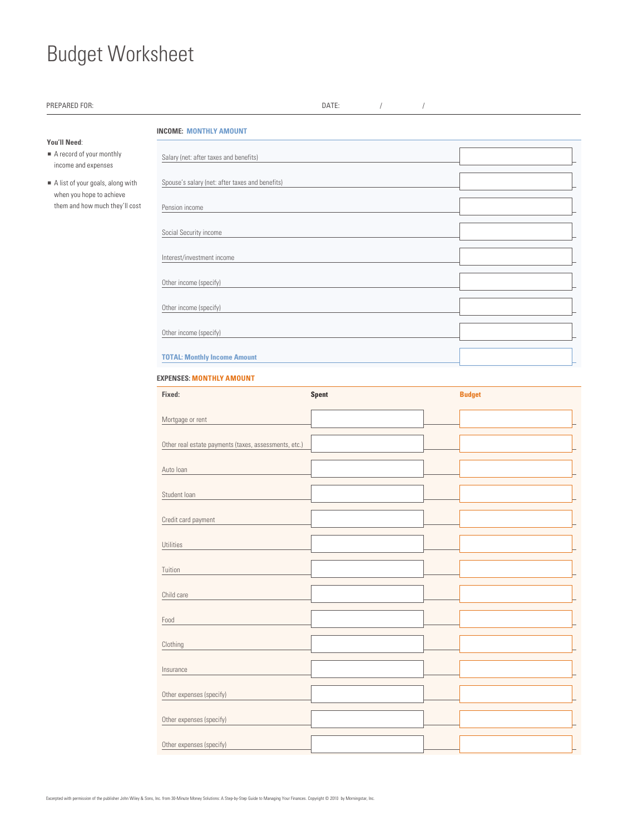## Budget Worksheet

| PREPARED FOR:                                                   |                                                       | DATE:<br>$\sqrt{ }$ | $\sqrt{ }$ |               |
|-----------------------------------------------------------------|-------------------------------------------------------|---------------------|------------|---------------|
|                                                                 | <b>INCOME: MONTHLY AMOUNT</b>                         |                     |            |               |
| You'll Need:<br>A record of your monthly<br>income and expenses | Salary (net: after taxes and benefits)                |                     |            |               |
| A list of your goals, along with                                | Spouse's salary (net: after taxes and benefits)       |                     |            |               |
| when you hope to achieve<br>them and how much they'll cost      | Pension income                                        |                     |            |               |
|                                                                 | Social Security income                                |                     |            |               |
|                                                                 | Interest/investment income                            |                     |            |               |
|                                                                 | Other income (specify)                                |                     |            |               |
|                                                                 | Other income (specify)<br>Other income (specify)      |                     |            |               |
|                                                                 |                                                       |                     |            |               |
|                                                                 | <b>TOTAL: Monthly Income Amount</b>                   |                     |            |               |
|                                                                 | <b>EXPENSES: MONTHLY AMOUNT</b>                       |                     |            |               |
|                                                                 | Fixed:                                                | <b>Spent</b>        |            | <b>Budget</b> |
|                                                                 | Mortgage or rent                                      |                     |            |               |
|                                                                 | Other real estate payments (taxes, assessments, etc.) |                     |            |               |
|                                                                 | Auto Ioan                                             |                     |            |               |
|                                                                 | Student Ioan                                          |                     |            |               |

Credit card payment

Utilities

**Tuition** 

Child care

Food

**Clothing** 

**Insurance** 

Other expenses (specify)

Other expenses (specify)

Other expenses (specify)